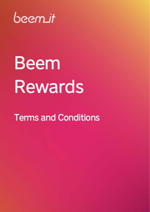

# **Beem Rewards**

**Terms and Conditions**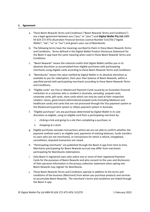## **1. Agreement**

- a. These Beem Rewards Terms and Conditions ("Beem Rewards Terms and Conditions") are a legal agreement between you ("you," or "your") and **Digital Wallet Pty Ltd** (ABN 93 624 272 475) (Australian Financial Services Licence Number 515270) ("Digital Wallet", "we", "us" or "our") and govern your use of Beembucks.
- b. The following terms have the meanings ascribed to them in these Beem Rewards Terms and Conditions. Terms defined in the Digital Wallet Product Disclosure Statement for the Beem It app have the same meaning when used in these Beem Rewards Terms and Conditions.
- c. "Beem Rewards" means the notional credits that Digital Wallet notifies you in its absolute discretion as accumulated from eligible purchases with participating merchants using eligible cards according to these Beem Rewards Terms and Conditions.
- d. "Beembucks" means the value notified by Digital Wallet in its absolute discretion as available to you for redemption, from your then balance of Beem Rewards, within a specified period with participating merchants according to these Beem Rewards Terms and Conditions.
- e. "Eligible cards" are Visa or Mastercard Payment Cards issued by an Australian financial institution to a customer who is resident in Australia, excluding prepaid cards, corporate cards, gift cards, store cards which can only be used at their respective retailers' stores, government-administered prepaid cards (including Medicare and healthcare cards) and cards that are not processed through the Visa payment system or the Mastercard payment system or eftpos payment system in Australia.
- f. "Eligible purchases" are any purchases determined by Digital Wallet in its sole discretion as eligible, using an eligible card from a participating merchant by:
	- i. clicking a link and going to a site then completing a purchase; or
	- ii. shopping at a store
- g. Eligible purchases excludes transactions where we are not able to confirm whether the payment method used is an eligible card, payments of existing balances, funds transfers to users who are not merchants], or transactions for which a refund, chargeback, cancellation, disputed transaction are raised.
- h. "Participating merchants" are published through the Beem It app from time to time. Merchants participating for Beem Rewards accrual may differ from merchants participating for Beembucks redemptions.
- i. Only Beem It registered users who select one or more of their registered Payment Cards for the purposes of Beem Rewards and who consent to the uses and disclosures of their personal information in the privacy collection statement when opting into Beem Rewards may register for Beembucks.
- j. These Beem Rewards Terms and Conditions operate in addition to the terms and conditions of the business (Merchant) from whom you purchase products and services to accumulate Beem Rewards. The merchant's terms and conditions are linked through the Beem It app.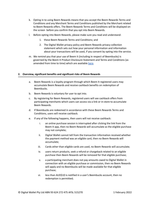- k. Opting in to using Beem Rewards means that you accept the Beem Rewards Terms and Conditions and any Merchant Terms and Conditions published by the Merchant related to Beem Rewards offers. The Beem Rewards Terms and Conditions will be displayed on the screen before you confirm that you opt into Beem Rewards.
- l. Before opting into Beem Rewards, please make sure you read and understand:
	- 1. these Beem Rewards Terms and Conditions; and
	- 2. The Digital Wallet privacy policy and Beem Rewards privacy collection statement which sets out how your personal information and information about your transactions will be used, if you consent by opting into the service.
- m. We remind you that your use of Beem It (including in respect of Beembucks) is governed by the Beem It Product Disclosure Statement and Terms and Conditions (as amended from time to time) which are available [here.](https://www.beemit.com.au/terms)

# **2. Overview, significant benefits and significant risks of Beem Rewards**

- a. Beem Rewards is a loyalty program through which Beem It registered users may accumulate Beem Rewards and receive cashback benefits on redemption of Beembucks.
- b. Beem Rewards is voluntary for user to opt into.
- c. By registering for Beem Rewards, registered users will see cashback offers from participating merchants which users can access via a link or in-store to accumulate Beem Rewards.
- d. If Beembucks are redeemed in accordance with these Beem Rewards Terms and Conditions, users will receive cashback.
- e. If any of the following happens, then users will not receive cashback:
	- i. an online purchase session is interrupted after clicking the link from the Beem It app, then no Beem Rewards will accumulate as the eligible purchase may not complete;
	- ii. Digital Wallet cannot tell from the transaction information received whether the payment method was an eligible card, then no Beem Rewards will accumulate;
	- iii. Cards other than eligible cards are used, no Beem Rewards will accumulate;
	- iv. users return products, seek a refund or chargeback related to an eligible purchase then Beem Rewards will be removed for that eligible purchase;
	- v. a participating merchant does not pay amounts owed to Digital Wallet in connection with an eligible purchase or commission, then no Beem Rewards will apply and no Beembucks will be made available for that eligible purchase;
	- vi. less than AUD\$10 is notified in a user's Beembucks account, then no redemption is permitted;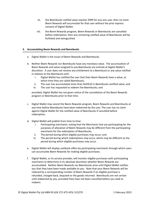- vii. the Beembucks notifed value reaches \$999 for any one user, then no more Beem Rewards will accumulate for that user without the prior express consent of Digital Wallet;
- viii. the Beem Rewards program, Beem Rewards or Beembucks are cancelled before redemption, then any remaining notified value of Beembucks will be forfeited and extinguished.

# **3. Accumulating Beem Rewards and Beembucks**

- a. Digital Wallet is the issuer of Beem Rewards and Beembucks.
- b. Neither Beem Rewards nor Beembucks have any monetary value. The accumulation of Beem Rewards and value assigned to any Beembucks are entirely at Digital Wallet's discretion. A user does not receive any entitlement to a Beembuck or any value notified in relation to the Beembuck until:
	- i. Digital Wallet has notified the user that their Beem Rewards have a value, at which time they are called Beembucks;
	- ii. The user has accumulated more than AUD\$10 in Beembucks notified value; and
	- iii. The user has requested to redeem the Beembucks; and

provided, Digital Wallet has not given notice of the cancellation of the Beem Rewards program or Beembucks prior to that time.

- c. Digital Wallet may cancel the Beem Rewards program, Beem Rewards and Beembucks at any time before Beembucks have been redeemed by the user. The user has no claim against Digital Wallet for the notified value of Beembucks if cancelled before redemption.
- d. Digital Wallet will publish from time to time:
	- i. Participating merchants, noting that the Merchants that are participating for the purposes of allocation of Beem Rewards may be different from the participating merchants for the redemption of Beembucks;
	- ii. The period during which eligible purchases may occur; and
	- iii. The period during which redemptions may occur, which may be different to the period during which eligible purchases may occur.
- e. Digital Wallet will display cashback offers by participating merchants through which users can accumulate Beem Rewards for making eligible purchases.
- f. Digital Wallet, or its service provider, will monitor eligible purchases with participating merchants to determine in its absolute discretion whether Beem Rewards are accumulated. Neither Beem Rewards nor Beembucks arise until Digital Wallet notifies you that they have been made available to you. Note that your Beem Rewards will be reduced by a corresponding number of Beem Rewards if an eligible purchase is refunded, charged back, disputed or the goods returned. Beembucks are not certain until redeemed by you, provided they have not been cancelled before you seek to redeem.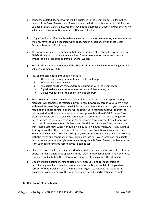- g. Your accumulated Beem Rewards will be displayed in the Beem It app. Digital Wallet's record of the Beem Rewards and Beembucks is the indisputable source of truth for the balance of each. At any time, you may have both a number of Beem Rewards (having no value) and a balance of Beembucks (with assigned value).
- h. If Digital Wallet notifies you have been awarded a value for Beembucks, your Beembucks will only have the value specified when redeemed in accordance with these Beem Rewards Terms and Conditions.
- i. The maximum value of Beembucks that may be notified at any time to any one user is AUD\$999. Once that value is achieved, no further Beembucks can be accumulated without the express prior approval of Digital Wallet.
- j. Beembucks cannot be redeemed if the Beembucks notified value or remaining notified value is less than AUD\$10.
- k. Any Beembucks notified value is forfeited if:
	- i. The user ends its agreement to use the Beem It app;
	- ii. The user becomes inactive;
	- iii. All eligible cards are removed from registration with the Beem It app;
	- iv. Digital Wallet cancels or removes the value of Beembucks; or
	- v. Digital Wallet cancels the Beem Rewards program.
- l. Beem Rewards that you receive as a result of an eligible purchase at a participating merchant will generally be reflected in your Beem Rewards record in your Beem It app within 0-7 Business Days after the eligible purchase. Beem Rewards that you receive as a result of an eligible purchase online will be reflected in your Beem Rewards after the return period for the purchase has expired and generally within 60-90 Business Days after the eligible purchase online is completed. In some cases, it may take longer for Beem Rewards to be reflected in your Beem Rewards record in your Beem It app. For purposes of these Beem Rewards Terms and Conditions, "Business Day" means a day that is not a Saturday, Sunday or public holiday in New South Wales, Australia. Without limiting any of the other conditions of these Terms and Conditions, if we award Beem Rewards or Beembucks to you in error (e.g., we later determine that you did not comply with the terms and conditions of an eligible purchase or if you charge back an eligible purchase), we reserve the right to remove the applicable Beem Rewards or Beembucks from your Beem Rewards record in your Beem It app.
- m. Please be aware that a participating Merchant will determine the terms of its cashback offers. This will generally be specified in the relevant Merchant's Terms and Conditions. If you are unable to find this information, then you should contact the Merchant.
- n. Display of participating merchant lists, offers, discounts and cashback offers at participating merchants is not a recommendation by Digital Wallet of the goods or services of that merchant or of the merchant. Digital Wallet does not warrant the accuracy or completeness of the information provided by participating merchants.

## **4. Redeeming of Beembucks**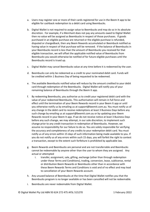- a. Users may register one or more of their cards registered for use in the Beem It app to be eligible for cashback redemption to a debit card using Beembucks.
- b. Digital Wallet is not required to assign value to Beembucks and may do so in its absolute discretion. For example, if a Merchant does not pay any amounts owed to Digital Wallet then no value will be assigned as Beembucks in respect of those purchases. If goods purchased in an eligible purchase are returned or the eligible purchase is refunded, disputed or chargedback, then any Beem Rewards accumulated or Beembuck notified as having value in respect of that purchase will be removed. If the balance of Beembucks in your Beembucks record is less than the amount of Beembucks you received for that eligible transaction, we will offset the applicable notified value of Beembucks from Beembucks you would otherwise be notified of for future eligible purchases until the Beembucks record is trued up.
- c. Digital Wallet may cancel Beembucks value at any time before it is redeemed by the user.
- d. Beembucks can only be redeemed as a credit to your nominated debit card. Funds will be credited within 1 Business Day of being requested to be redeemed.
- e. The available Beembucks notified value will reduce by the amount credited to your debit card through redemption of the Beembucks. Digital Wallet will notify you of your remaining balance of Beembucks through the Beem It app.
- f. By redeeming Beembucks, you authorise us to credit your registered debit card with the value of your redeemed Beembucks. This authorisation will remain in full force and effect until the termination of your Beem Rewards record in your Beem It app or until you otherwise notify us by emailing us at [support@beemit.com.au](mailto:support@beemit.com.au). You must notify us of any change in the debit card to receive redemptions at least 3 Business Days before any such change by emailing us at [support@beemit.com.au](mailto:support@beemit.com.au) or by updating your Beem Rewards record in your Beem It app. If we do not receive notice at least 3 Business Days before any such change, we may attempt, in our sole discretion, to implement such change prior to any credit transaction in redemption of Beembucks. However, we assume no responsibility for our failure to do so. You are solely responsible for verifying the accuracy and completeness of any credits to your redemption debit card. You must notify us of any errors within 15 days of such information being made available to you. If you do not notify us of any errors within such 15 days, you will forfeit the right to contest a transaction, except to the extent such forfeiture is prohibited by applicable law.
- g. Beem Rewards and Beembucks are personal and are not transferrable and Beembucks cannot be redeemable by anyone other than the user to whom they are assigned. Any actual or attempted
	- i. transfer, assignment, sale, gifting, exchange (other than through redemption under these Terms and Conditions), trading, conversion, lease, sublicense, rental or distribution Beem Rewards or Beembucks other than in accordance with these Beem Rewards Terms and Conditions is void and of no effect and may lead to cancellation of your Beem Rewards account.
- h. Any unused balance of Beembucks at the time that Digital Wallet notifies you that the Beembucks program is no longer available or has been cancelled will not be redeemable.
- i. Beembucks are never redeemable from Digital Wallet.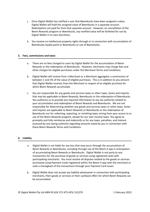- j. Once Digital Wallet has notified a user that Beembucks have been assigned a value, Digital Wallet will hold the assigned value of Beembucks in a separate account. Redemptions are paid for from that separate account. However, on cancellation of the Beem Rewards program or Beembucks, any notified value will be forfeited for use by Digital Wallet in its own discretion.
- k. You receive no intellectual property rights through or in connection with accumulation of Beembucks loyalty point or Beembucks or use of Beembucks.

### **5. Fees, commissions and taxes**

- a. There are no fees charged to users by Digital Wallet for the accumulation of Beem Rewards or the redemption of Beembucks. However, merchants may charge fees and other charges for eligible purchases under the Merchant Terms and Conditions.
- b. Digital Wallet will receive from a Merchant or a Merchant aggregator a commission of between 1 and 3% of the value of eligible purchases. This is in addition to any amount that Digital Wallet receives from the Merchant in respect of an eligible purchase for which Beem Rewards accumulate.
- c. You are responsible for any goods and services taxes or other taxes, levies and imposts that may be applicable to Beem Rewards, Beembucks or the redemption of Beembucks. You authorise us to provide any required information to any tax authority related to your accumulation and redemption of Beem Rewards and Beembucks. We are not responsible for determining whether any goods and services taxes or other taxes, levies and imposts are applicable to Beem Rewards or Beembucks or the redemption of Beembucks nor for collecting, reporting, or remitting taxes arising from your access to or use of the Beem Rewards program, except for our own income taxes. You agree to promptly and fully reimburse and indemnify us for any taxes, penalties, and interest assessed by any taxing authority regarding amounts owed by you in connection with these Beem Rewards Terms and Conditions.

## **6. Liability**

- a. Digital Wallet is not liable for any loss that may occur through the accumulation of Beem Rewards or Beembucks, including through use of the Beem It app in anticipation of accumulating Beem Rewards or Beembucks. Digital Wallet is not party to any transactions for the purchase of goods or services using registered cards with participating merchants. You must resolve all disputes related to the goods or services purchased using Payment Cards registered within the Beem It app with the merchant or seek a charegback of the transactions through your Payment Card issuer.
- b. Digital Wallet does not accept any liability whatsoever in connection with participating merchants, their goods or services or their cashback offers for which Beem Rewards can be accumulated.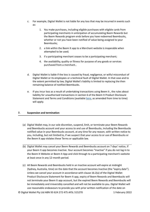- c. For example, Digital Wallet is not liable for any loss that may be incurred in events such as:
	- 1. You make purchases, including eligible purchases with eligible cards from participating merchants in anticipation of accumulating Beem Rewards but the Beem Rewards program ends before you have redeemed Beembucks, whether or not you have been notified of value being assigned to your Beembucks;
	- 2. a link within the Beem It app to a Merchant website is inoperable when attempted to be used;
	- 3. if a participating merchant ceases to be a participating merchant;
	- 4. the availability, quality or fitness for purpose of any goods or services purchased from a merchant..
- d. Digital Wallet is liable if the loss is caused by fraud, negligence, or wilful misconduct of Digital Wallet or its employees or a technical fault of Digital Wallet. In that case and to the extent permitted by law, Digital Wallet's liability is limited to replacing the then remaining balance of notified Beembucks.
- e. If you incur loss as a result of undertaking transactions using Beem It , the rules about liability for unauthorised transactions in section 6 of the Beem It Product Disclosure Statement and Terms and Conditions (available [here](https://www.beemit.com.au/terms), as amended from time to time) will apply.

## **7. Suspension and termination**

- (a) Digital Wallet may, in our sole discretion, suspend, limit, or terminate your Beem Rewards and Beembucks account and your access to and use of Beembucks, including the Beembucks notified value in your Beembucks account, at any time for any reason, with written notice to you, including, but not limited to, if we suspect that your access to or use of Beembucks or the Beem It app violates these Terms or applicable law.
- (b) Digital Wallet may cancel your Beem Rewards and Beembucks account on 7 days' notice, if your Beem It app becomes Inactive. Your account becomes "Inactive" if you do not log in to the Beem It Website or Beem It App and click through to a participating merchant's website at least once in any 12-month period.
- (c) All Beem Rewards and Beembucks held in an Inactive account will expire at midnight (Sydney, Australia, time) on the date that the account becomes Inactive (the "expiry date"). Unless we cancel your account in accordance with clause 16.2(a) of the Digital Wallet Product Disclosure Statement for Beem It app, expiry of Beem Rewards and Beembucks will not terminate your Beem it app account, but the expired Beem Rewards and Beembucks will be immediately and irreversibly cancelled and will not be available to you. Digital Wallet will use reasonable endeavours to provide you with prior written notification of the date on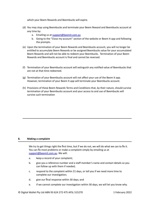which your Beem Rewards and Beembucks will expire.

- (d) You may stop using Beembucks and terminate your Beem Reward and Beembucks account at any time by:
	- a. Emailing us at [support@beemit.com.au](mailto:support@beemit.com.au)
	- b. Going to the "Close my account" section of the website or Beem It app and following the prompts.
- (e) Upon the termination of your Beem Rewards and Beembucks account, you will no longer be entitled to accumulate Beem Rewards or be assigned Beembucks value for your accumulated Beem Rewards and will not be able to redeem your Beembucks. Termination of your Beem Rewards and Beembucks account is final and cannot be reversed.
- (f) Termination of your Beembucks account will extinguish any notified value of Beembucks that are not at that time redeemed.
- (g) Termination of your Beembucks account will not affect your use of the Beem It app. However, termination of your Beem It app will terminate your Beembucks account.
- (h) Provisions of these Beem Rewards Terms and Conditions that, by their nature, should survive termination of your Beembucks account and your access to and use of Beembucks will survive such termination

## **8. Making a complaint**

We try to get things right the first time, but if we do not, we will do what we can to fix it. You can fix most problems or make a complaint simply by emailing us at [support@beemit.com.au.](mailto:support@beemit.com.au) We will:

- a. keep a record of your complaint;
- b. give you a reference number and a staff member's name and contact details so you can follow up with them if needed;
- c. respond to the complaint within 21 days, or tell you if we need more time to complete our investigation;
- d. give our final response within 30 days; and
- e. if we cannot complete our investigation within 30 days, we will let you know why.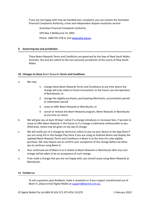If you are not happy with how we handled your complaint, you can contact the Australian Financial Complaints Authority, a free and independent dispute resolution service:

Australian Financial Complaints Authority

GPO Box 3 Melbourne Vic 3001

Phone: 1800 931 678 or visit [www.afca.org.au](http://www.afca.org.au)

## **9. Governing law and jurisdiction**

These Beem Rewards Terms and Conditions are governed by the laws of New South Wales, Australia. You and we submit to the non-exclusive jurisdiction of the courts of New South Wales.

## **10. Changes to these** Beem Rewards **Terms and Conditions**

- a. We may:
- 1. change these Beem Rewards Terms and Conditions at any time where the change will only relate to future transactions or the future use and operation of Beembucks; or
- 2. change the eligible purchases, participating Merchants, accumulation period or redemption period
- 3. cease to offer Beem Rewards or Beembucks; or
- 4. cancel or remove the Beem Rewards program, Beem Rewards or Beembucks at any time on notice.
- b. We will give you at least 30 days' notice if a change introduces or increases fees, if we plan to cease to offer Beem Rewards in the future or if a change is otherwise unfavourable to you. Otherwise, notice may be given on the day of change.
- c. We will notify you of a change by electronic notice to you via your device or the App Store if you are using iOS or the Google Play Store if you are using an Android device and display the updated Beem Rewards Terms and Conditions in Beem It at the time of a new eligible purchase. We may require you to confirm your acceptance of the change before we allow you to continue using Beem It.
- d. Your continued use of Beem It as it relates to Beem Rewards or Beembucks after any such change will be taken to be an acceptance of such change.
- e. If we make a change that you are not happy with, you should cease using Beem Rewards pr Beembucks.

# **11. Contact us**

To ask a question, give feedback, make a complaint or if you suspect unauthorised use of Beem It, please email Digital Wallet at **[support@beemit.com.au](mailto:support@beemit.com.au)**.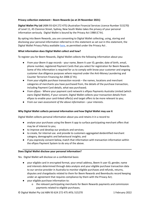# **Privacy collection statement – Beem Rewards (as at 24 November 2021)**

**Digital Wallet Pty Ltd** (ABN 93 624 272 475) (Australian Financial Services Licence Number 515270) of Level 11, 45 Clarence Street, Sydney, New South Wales takes the privacy of your personal information seriously. Digital Wallet is bound by the Privacy Act 1988 (C'th).

By opting into Beem Rewards, you are consenting to Digital Wallet collecting, using, storing and disclosing your personal information referred to in this statement as set out in this statement, the Digital Wallet Privacy Policy available [here,](https://beemit.com.au/privacy) as permitted under the Privacy Act.

# **What information does Digital Wallet collect and how?**

To register you for Beem Rewards, Digital Wallet collects the following information about you:

- *From your Beem It app records* your name, Beem It user ID, gender, date of birth, email, phone number, registered Payment Cards that you select for registration for Beem Rewards. Some of this information is required for us to comply with know your customer and ongoing customer due diligence purposes where required under the Anti-Money Laundering and Counter Terrorism Financing Act 2006 (C'th);
- *From your eligible purchase transaction records* the names, locations and merchant categories of merchants you have purchased from, the details of the purchase transaction, including Payment Card details, what was purchased;
- *From eftpos* Where your payment card network is eftpos Payments Australia Limited (which owns Digital Wallet), if your consent, Digital Wallet collects your transaction details from eftpos to enable your card-linked offer(s) and target offers to be more relevant to you;
- *From our own assessment of the above information* your interests.

## **Why Digital Wallet collects personal information and how Digital Wallet may use it**

Digital Wallet collects personal information about you and retains it in a record to:

- analyse your purchases using the Beem It app to surface participating merchant offers that may be of interest to you;
- to improve and develop our products and services;
- to create, for internal use. and provide to customers aggregated deidentified merchant category, demographic and behavioural insights; and
- if you expressly consent below, match that information with transaction information within the eftpos Payment System to do any of the above.

## **Does Digital Wallet disclose your personal information?**

Yes. Digital Wallet will disclose on a confidential basis:

- your eligible card in encrypted format, your email address, Beem It user ID, gender, name and interests determined through data analysis and your eligible purchase transaction data to our service provider in Australia to monitor eligible purchases and refunds, returns, disputes and chargebacks related to them for Beem Rewards and Beembucks record keeping under an agreement that requires compliance by them with the Privacy Act;
- your eligible purchase information to:
	- o the relevant participating merchants for Beem Rewards payments and commission payments related to eligible purchases;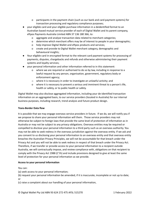- o participants in the payment chain (such as our bank and card payment systems) for transaction processing and regulatory compliance purposes;
- your eligible card and your eligible purchase information in a deidentified format to an Australian based mutual service provider of each of Digital Wallet and its parent company, eftpos Payments Australia Limited ABN 37 136 180 366, to:
	- o aggregate and analyse transaction data related to merchant categories;
	- o determine which merchant offers may be of interest to people in your demographic;
	- o help improve Digital Wallet and eftpos products and services;
	- o create and provide to Digital Wallet merchant category, demographic and behavioural insights;
- Your eligible card in encrypted format to the relevant card payment systems for processing of payments, disputes, chargebacks and refunds and otherwise administering their payment systems and loyalty services;
- your personal information and other information referred to in this statement:
	- where we are required or authorised to do so by law, including in response to a lawful request by any person, organisation, government, regulatory body or enforcement agency;
	- o where it is necessary in order to investigate an unlawful activity; and
	- o where it is necessary to prevent a serious and imminent threat to a person's life, health or safety, or to public health or safety.

Digital Wallet may also disclose aggregated information, including your de-identified transaction information on an aggregated basis, to our service providers (located in Australia) for our internal business purposes, including research, trend analysis and future product design.

## **Trans-Border Data flow**

It is possible that we may engage overseas service providers in future. If we do, we will notify you if we propose to share your personal information will them. Those service providers may not otherwise be subject to foreign laws that provide the same level of protection of information as in Australia or may not be subject to any privacy obligations. Overseas entities may be required or compelled to disclose your personal information to a third party such as an overseas authority. You may not be able to seek redress in the overseas jurisdiction against the overseas entity. If we ask and you consent to us disclosing your personal information to an overseas entity and that overseas entity breaches the Australian Privacy Principles, we will not be accountable for that breach under the Privacy Act and you will not be able to seek redress in respect of that breach under the Privacy Act. Therefore, if we transfer or provide access to your personal information to a recipient outside Australia, we will contractually impose, and review compliance with, obligations on that recipient to comply with the Privacy Act 1988 (C'th) and include provisions designed to give at least the same level of protection for your personal information as we provide.

## **Access to your personal information**

# You can:

- (a) seek access to your personal information;
- (b) request your personal information be amended, if it is inaccurate, incomplete or not up to date; or
- (c) raise a complaint about our handling of your personal information,